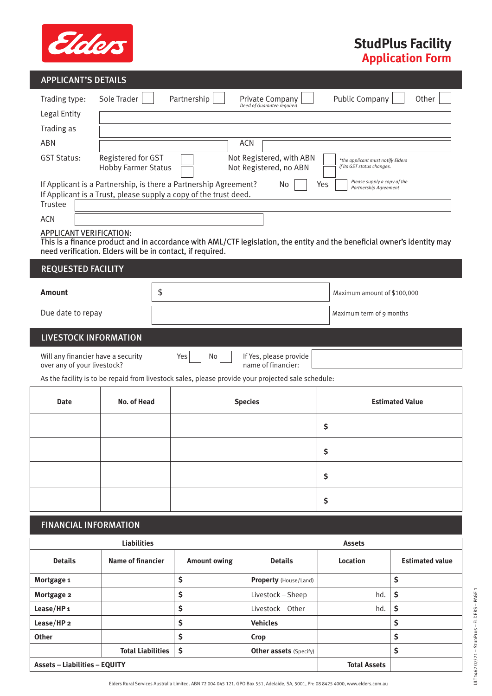

## **StudPlus Facility Application Form**

| <b>APPLICANT'S DETAILS</b>                                                                                                                      |                                                                                                                                                                           |             |                          |                                                                                                                          |                                                             |                        |  |  |
|-------------------------------------------------------------------------------------------------------------------------------------------------|---------------------------------------------------------------------------------------------------------------------------------------------------------------------------|-------------|--------------------------|--------------------------------------------------------------------------------------------------------------------------|-------------------------------------------------------------|------------------------|--|--|
| Trading type:                                                                                                                                   | Sole Trader                                                                                                                                                               | Partnership |                          | Private Company                                                                                                          | <b>Public Company</b>                                       | Other                  |  |  |
| Legal Entity                                                                                                                                    |                                                                                                                                                                           |             |                          | Deed of Guarantee required                                                                                               |                                                             |                        |  |  |
| Trading as                                                                                                                                      |                                                                                                                                                                           |             |                          |                                                                                                                          |                                                             |                        |  |  |
| <b>ABN</b>                                                                                                                                      | <b>ACN</b>                                                                                                                                                                |             |                          |                                                                                                                          |                                                             |                        |  |  |
| <b>GST Status:</b>                                                                                                                              | Registered for GST<br>Not Registered, with ABN<br>*the applicant must notify Elders<br>if its GST status changes.<br>Not Registered, no ABN<br><b>Hobby Farmer Status</b> |             |                          |                                                                                                                          |                                                             |                        |  |  |
| If Applicant is a Partnership, is there a Partnership Agreement?<br>If Applicant is a Trust, please supply a copy of the trust deed.<br>Trustee |                                                                                                                                                                           |             |                          | No                                                                                                                       | Please supply a copy of the<br>Yes<br>Partnership Agreement |                        |  |  |
| <b>ACN</b>                                                                                                                                      |                                                                                                                                                                           |             |                          |                                                                                                                          |                                                             |                        |  |  |
| APPLICANT VERIFICATION:                                                                                                                         |                                                                                                                                                                           |             |                          |                                                                                                                          |                                                             |                        |  |  |
| need verification. Elders will be in contact, if required.                                                                                      |                                                                                                                                                                           |             |                          | This is a finance product and in accordance with AML/CTF legislation, the entity and the beneficial owner's identity may |                                                             |                        |  |  |
|                                                                                                                                                 |                                                                                                                                                                           |             |                          |                                                                                                                          |                                                             |                        |  |  |
| <b>REQUESTED FACILITY</b>                                                                                                                       |                                                                                                                                                                           |             |                          |                                                                                                                          |                                                             |                        |  |  |
| <b>Amount</b>                                                                                                                                   | \$                                                                                                                                                                        |             |                          | Maximum amount of \$100,000                                                                                              |                                                             |                        |  |  |
| Due date to repay                                                                                                                               |                                                                                                                                                                           |             | Maximum term of 9 months |                                                                                                                          |                                                             |                        |  |  |
| <b>LIVESTOCK INFORMATION</b>                                                                                                                    |                                                                                                                                                                           |             |                          |                                                                                                                          |                                                             |                        |  |  |
|                                                                                                                                                 |                                                                                                                                                                           |             |                          |                                                                                                                          |                                                             |                        |  |  |
| Will any financier have a security<br>over any of your livestock?                                                                               |                                                                                                                                                                           | Yes         | No                       | If Yes, please provide<br>name of financier:                                                                             |                                                             |                        |  |  |
|                                                                                                                                                 |                                                                                                                                                                           |             |                          | As the facility is to be repaid from livestock sales, please provide your projected sale schedule:                       |                                                             |                        |  |  |
| <b>Date</b>                                                                                                                                     | No. of Head                                                                                                                                                               |             |                          | <b>Species</b>                                                                                                           |                                                             | <b>Estimated Value</b> |  |  |
|                                                                                                                                                 |                                                                                                                                                                           |             |                          |                                                                                                                          | \$                                                          |                        |  |  |
|                                                                                                                                                 |                                                                                                                                                                           |             |                          |                                                                                                                          | \$                                                          |                        |  |  |
|                                                                                                                                                 |                                                                                                                                                                           |             |                          |                                                                                                                          | \$                                                          |                        |  |  |
|                                                                                                                                                 |                                                                                                                                                                           |             |                          |                                                                                                                          | \$                                                          |                        |  |  |
| <b>FINANCIAL INFORMATION</b>                                                                                                                    |                                                                                                                                                                           |             |                          |                                                                                                                          |                                                             |                        |  |  |
|                                                                                                                                                 | <b>Liabilities</b>                                                                                                                                                        |             |                          |                                                                                                                          | <b>Assets</b>                                               |                        |  |  |
| <b>Details</b>                                                                                                                                  | <b>Name of financier</b>                                                                                                                                                  |             | <b>Amount owing</b>      | <b>Details</b>                                                                                                           | <b>Location</b>                                             | <b>Estimated value</b> |  |  |
| Mortgage 1                                                                                                                                      |                                                                                                                                                                           | \$          |                          | Property (House/Land)                                                                                                    |                                                             | $\mathsf{S}$           |  |  |
| Mortgage 2                                                                                                                                      |                                                                                                                                                                           | \$          |                          | Livestock - Sheep                                                                                                        | hd.                                                         | \$                     |  |  |

**Total Liabilities \$ Other assets** (Specify) **\$**

**Lease/HP 2 \$ Vehicles \$ Other \$ Crop \$**

**Assets – Liabilities – EQUITY Total Assets**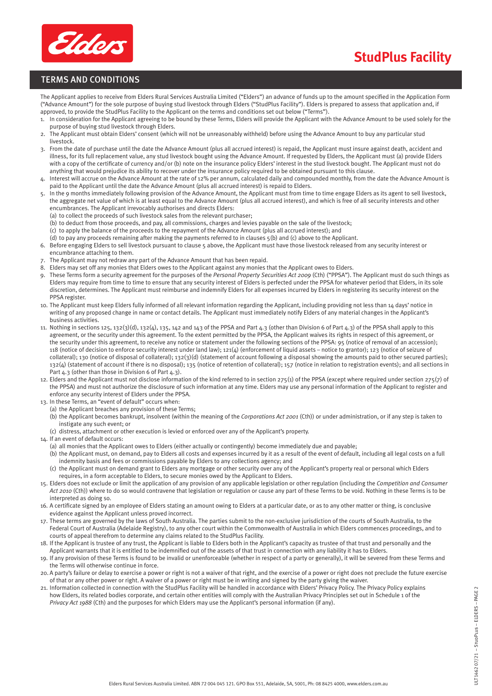

## **StudPlus Facility**

## TERMS AND CONDITIONS

The Applicant applies to receive from Elders Rural Services Australia Limited ("Elders") an advance of funds up to the amount specified in the Application Form ("Advance Amount") for the sole purpose of buying stud livestock through Elders ("StudPlus Facility"). Elders is prepared to assess that application and, if approved, to provide the StudPlus Facility to the Applicant on the terms and conditions set out below ("Terms").

- 1. In consideration for the Applicant agreeing to be bound by these Terms, Elders will provide the Applicant with the Advance Amount to be used solely for the purpose of buying stud livestock through Elders.
- 2. The Applicant must obtain Elders' consent (which will not be unreasonably withheld) before using the Advance Amount to buy any particular stud livestock.
- 3. From the date of purchase until the date the Advance Amount (plus all accrued interest) is repaid, the Applicant must insure against death, accident and illness, for its full replacement value, any stud livestock bought using the Advance Amount. If requested by Elders, the Applicant must (a) provide Elders with a copy of the certificate of currency and/or (b) note on the insurance policy Elders' interest in the stud livestock bought. The Applicant must not do anything that would prejudice its ability to recover under the insurance policy required to be obtained pursuant to this clause.
- 4. Interest will accrue on the Advance Amount at the rate of 12% per annum, calculated daily and compounded monthly, from the date the Advance Amount is paid to the Applicant until the date the Advance Amount (plus all accrued interest) is repaid to Elders.
- In the 9 months immediately following provision of the Advance Amount, the Applicant must from time to time engage Elders as its agent to sell livestock, the aggregate net value of which is at least equal to the Advance Amount (plus all accrued interest), and which is free of all security interests and other encumbrances. The Applicant irrevocably authorises and directs Elders:
	- (a) to collect the proceeds of such livestock sales from the relevant purchaser;
	- (b) to deduct from those proceeds, and pay, all commissions, charges and levies payable on the sale of the livestock;
- (c) to apply the balance of the proceeds to the repayment of the Advance Amount (plus all accrued interest); and
- (d) to pay any proceeds remaining after making the payments referred to in clauses 5(b) and (c) above to the Applicant.
- 6. Before engaging Elders to sell livestock pursuant to clause 5 above, the Applicant must have those livestock released from any security interest or encumbrance attaching to them.
- The Applicant may not redraw any part of the Advance Amount that has been repaid.
- 8. Elders may set off any monies that Elders owes to the Applicant against any monies that the Applicant owes to Elders.
- 9. These Terms form a security agreement for the purposes of the *Personal Property Securities Act 2009* (Cth) ("PPSA"). The Applicant must do such things as Elders may require from time to time to ensure that any security interest of Elders is perfected under the PPSA for whatever period that Elders, in its sole discretion, determines. The Applicant must reimburse and indemnify Elders for all expenses incurred by Elders in registering its security interest on the PPSA register.
- 10. The Applicant must keep Elders fully informed of all relevant information regarding the Applicant, including providing not less than 14 days' notice in writing of any proposed change in name or contact details. The Applicant must immediately notify Elders of any material changes in the Applicant's business activities.
- 11. Nothing in sections 125, 132(3)(d), 132(4), 135, 142 and 143 of the PPSA and Part 4.3 (other than Division 6 of Part 4.3) of the PPSA shall apply to this agreement, or the security under this agreement. To the extent permitted by the PPSA, the Applicant waives its rights in respect of this agreement, or the security under this agreement, to receive any notice or statement under the following sections of the PPSA: 95 (notice of removal of an accession); 118 (notice of decision to enforce security interest under land law); 121(4) (enforcement of liquid assets – notice to grantor); 123 (notice of seizure of collateral); 130 (notice of disposal of collateral); 132(3)(d) (statement of account following a disposal showing the amounts paid to other secured parties); 132(4) (statement of account if there is no disposal); 135 (notice of retention of collateral); 157 (notice in relation to registration events); and all sections in Part 4.3 (other than those in Division 6 of Part 4.3).
- 12. Elders and the Applicant must not disclose information of the kind referred to in section 275(1) of the PPSA (except where required under section 275(7) of the PPSA) and must not authorize the disclosure of such information at any time. Elders may use any personal information of the Applicant to register and enforce any security interest of Elders under the PPSA.
- 13. In these Terms, an "event of default" occurs when:
	- (a) the Applicant breaches any provision of these Terms;
	- (b) the Applicant becomes bankrupt, insolvent (within the meaning of the *Corporations Act 2001* (Cth)) or under administration, or if any step is taken to instigate any such event; or
	- (c) distress, attachment or other execution is levied or enforced over any of the Applicant's property.
- 14. If an event of default occurs:
	- (a) all monies that the Applicant owes to Elders (either actually or contingently) become immediately due and payable;
	- (b) the Applicant must, on demand, pay to Elders all costs and expenses incurred by it as a result of the event of default, including all legal costs on a full indemnity basis and fees or commissions payable by Elders to any collections agency; and
	- (c) the Applicant must on demand grant to Elders any mortgage or other security over any of the Applicant's property real or personal which Elders requires, in a form acceptable to Elders, to secure monies owed by the Applicant to Elders.
- 15. Elders does not exclude or limit the application of any provision of any applicable legislation or other regulation (including the *Competition and Consumer Act 2010* (Cth)) where to do so would contravene that legislation or regulation or cause any part of these Terms to be void. Nothing in these Terms is to be interpreted as doing so.
- 16. A certificate signed by an employee of Elders stating an amount owing to Elders at a particular date, or as to any other matter or thing, is conclusive evidence against the Applicant unless proved incorrect.
- 17. These terms are governed by the laws of South Australia. The parties submit to the non-exclusive jurisdiction of the courts of South Australia, to the Federal Court of Australia (Adelaide Registry), to any other court within the Commonwealth of Australia in which Elders commences proceedings, and to courts of appeal therefrom to determine any claims related to the StudPlus Facility.
- 18. If the Applicant is trustee of any trust, the Applicant is liable to Elders both in the Applicant's capacity as trustee of that trust and personally and the Applicant warrants that it is entitled to be indemnified out of the assets of that trust in connection with any liability it has to Elders.
- 19. If any provision of these Terms is found to be invalid or unenforceable (whether in respect of a party or generally), it will be severed from these Terms and the Terms will otherwise continue in force.
- 20. A party's failure or delay to exercise a power or right is not a waiver of that right, and the exercise of a power or right does not preclude the future exercise of that or any other power or right. A waiver of a power or right must be in writing and signed by the party giving the waiver.
- 21. Information collected in connection with the StudPlus Facility will be handled in accordance with Elders' Privacy Policy. The Privacy Policy explains how Elders, its related bodies corporate, and certain other entities will comply with the Australian Privacy Principles set out in Schedule 1 of the *Privacy Act 1988* (Cth) and the purposes for which Elders may use the Applicant's personal information (if any).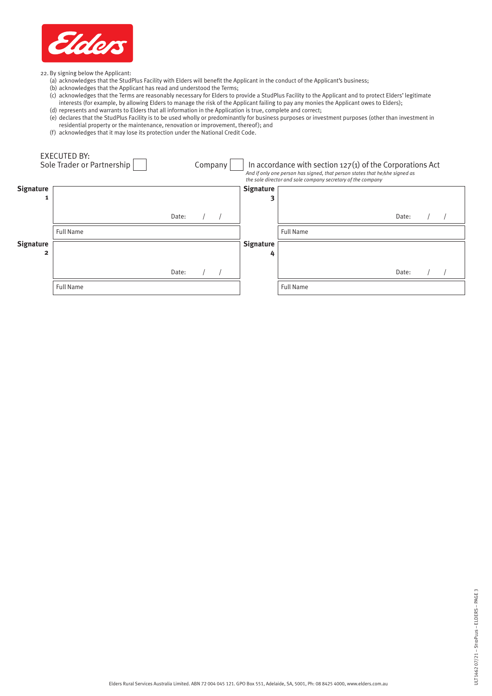

22. By signing below the Applicant:

- (a) acknowledges that the StudPlus Facility with Elders will benefit the Applicant in the conduct of the Applicant's business;
- (b) acknowledges that the Applicant has read and understood the Terms;
- (c) acknowledges that the Terms are reasonably necessary for Elders to provide a StudPlus Facility to the Applicant and to protect Elders' legitimate interests (for example, by allowing Elders to manage the risk of the Applicant failing to pay any monies the Applicant owes to Elders);
- (d) represents and warrants to Elders that all information in the Application is true, complete and correct; (e) declares that the StudPlus Facility is to be used wholly or predominantly for business purposes or investment purposes (other than investment in residential property or the maintenance, renovation or improvement, thereof); and
- (f) acknowledges that it may lose its protection under the National Credit Code.

|                       | EXECUTED BY:<br>Sole Trader or Partnership |       | Company |                       | In accordance with section $127(1)$ of the Corporations Act<br>And if only one person has signed, that person states that he/she signed as<br>the sole director and sole company secretary of the company |       |  |
|-----------------------|--------------------------------------------|-------|---------|-----------------------|-----------------------------------------------------------------------------------------------------------------------------------------------------------------------------------------------------------|-------|--|
| Signature<br>1        |                                            |       |         | <b>Signature</b>      |                                                                                                                                                                                                           |       |  |
|                       |                                            | Date: |         |                       |                                                                                                                                                                                                           | Date: |  |
|                       | <b>Full Name</b>                           |       |         |                       | <b>Full Name</b>                                                                                                                                                                                          |       |  |
| <b>Signature</b><br>2 |                                            |       |         | <b>Signature</b><br>4 |                                                                                                                                                                                                           |       |  |
|                       |                                            | Date: |         |                       |                                                                                                                                                                                                           | Date: |  |
|                       | <b>Full Name</b>                           |       |         |                       | <b>Full Name</b>                                                                                                                                                                                          |       |  |